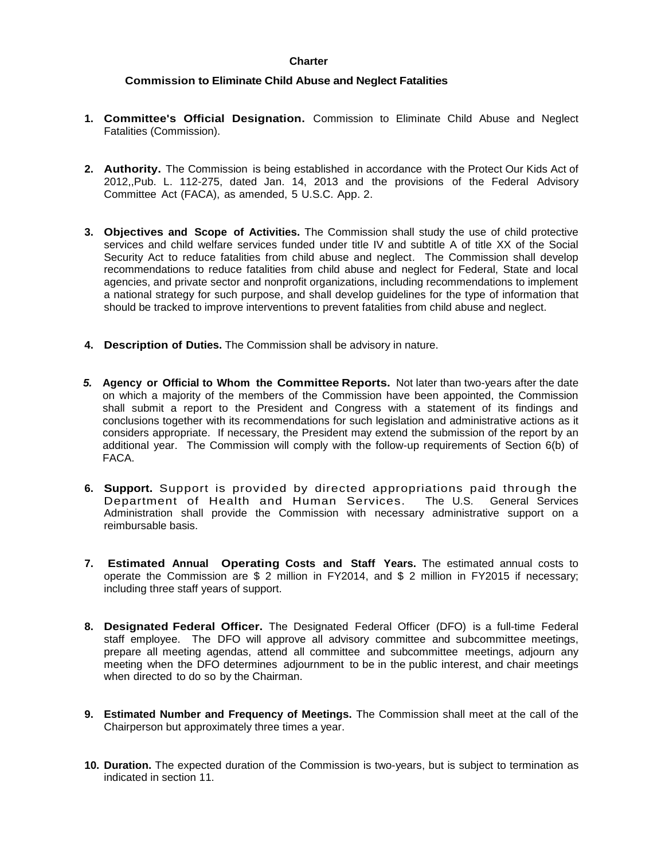## **Charter**

## **Commission to Eliminate Child Abuse and Neglect Fatalities**

- **1. Committee's Official Designation.** Commission to Eliminate Child Abuse and Neglect Fatalities (Commission).
- **2. Authority.** The Commission is being established in accordance with the Protect Our Kids Act of 2012,,Pub. L. 112-275, dated Jan. 14, 2013 and the provisions of the Federal Advisory Committee Act (FACA), as amended, 5 U.S.C. App. 2.
- **3. Objectives and Scope of Activities.** The Commission shall study the use of child protective services and child welfare services funded under title IV and subtitle A of title XX of the Social Security Act to reduce fatalities from child abuse and neglect. The Commission shall develop recommendations to reduce fatalities from child abuse and neglect for Federal, State and local agencies, and private sector and nonprofit organizations, including recommendations to implement a national strategy for such purpose, and shall develop guidelines for the type of information that should be tracked to improve interventions to prevent fatalities from child abuse and neglect.
- **4. Description of Duties.** The Commission shall be advisory in nature.
- *5.* **Agency or Official to Whom the Committee Reports.** Not later than two-years after the date on which a majority of the members of the Commission have been appointed, the Commission shall submit a report to the President and Congress with a statement of its findings and conclusions together with its recommendations for such legislation and administrative actions as it considers appropriate. If necessary, the President may extend the submission of the report by an additional year. The Commission will comply with the follow-up requirements of Section 6(b) of FACA.
- **6. Support.** Support is provided by directed appropriations paid through the Department of Health and Human Services. The U.S. General Services Administration shall provide the Commission with necessary administrative support on a reimbursable basis.
- **7. Estimated Annual Operating Costs and Staff Years.** The estimated annual costs to operate the Commission are \$ 2 million in FY2014, and \$ 2 million in FY2015 if necessary; including three staff years of support.
- **8. Designated Federal Officer.** The Designated Federal Officer (DFO) is a full-time Federal staff employee. The DFO will approve all advisory committee and subcommittee meetings, prepare all meeting agendas, attend all committee and subcommittee meetings, adjourn any meeting when the DFO determines adjournment to be in the public interest, and chair meetings when directed to do so by the Chairman.
- **9. Estimated Number and Frequency of Meetings.** The Commission shall meet at the call of the Chairperson but approximately three times a year.
- **10. Duration.** The expected duration of the Commission is two-years, but is subject to termination as indicated in section 11.